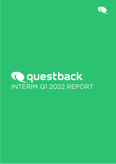

# Qquestback INTERIM Q1 2022 REPORT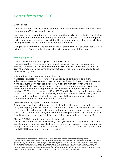# Letter from the CEO

Dear Reader,

We at Questback are the Nordic pioneers and frontrunners within the Experience Management (XM) software industry.

We offer the leading Software-as-a-Service in the Nordics for collecting, analyzing, and acting on customer and employee feedback. Our goal is to make companies and organizations smarter by providing the insights they need for better decision making to increase their revenue and reduce their costs.

Our growth journey towards becoming the #1 provider for XM solutions for SMEs, is evident in the figures in the first quarter, with several new all-time highs.

#### Key Highlights of Q1

Growth in total new subscription revenue by 46 % New subscription revenue<sup>[1](#page-1-0)</sup>, i.e. new annual recurring revenue, from new and existing customers ended at a new all-time-high, mNOK 5.7, resulting in a 46 % growth compared to the same quarter last year. This reflects our renewed focus on sales and growth.

All-time high Net Retention Rate of 103 %

Net Retention Rate (NRR)<sup>2</sup>, reflecting our ability to both retain and grow subscription revenue from existing customers while excluding additional revenue from new customers, reached above 100 % for the first time ever, with an improvement of 12 percent points compared to the same quarter last year. We have seen a positive development of this important KPI during Q3 and Q4 2021, reaching 99 % in both quarters. NRR at 103 % in Q1, historically our largest quarter after Q4 in terms of sales and renewals, means that our focused work begins to show results – we have started to deliver growth through our large existing customer base for the first time in over a decade.

Strengthened the team with new talents

Attracting, recruiting and developing talents will be the most important driver of our growth going forward. In Q1, we had the pleasure to welcome new talents, and have strengthened our fantastic teams in tech, new customer sales, and customer success. In addition, we strengthened our leadership team with the recruitment of Sara Davidsson Nyman, as Chief Revenue Officer, who will join us during Q2.

#### Strong EBITDA, despite investments in growth

Despite our investments into scaling our go-to-market capabilities and these investments having an expected delayed effect on revenue improvements, e.g. hiring of new sales people with a ramp-up time of four to six months, we achieved a solid EBITDA margin in the quarter of 31 %.

<span id="page-1-1"></span><span id="page-1-0"></span><sup>2</sup> Net retention rate is calculated using subscription revenue. We first calculate the subscription revenue in one quarter from a cohort of customers that were customers at the beginning of the same quarter in the prior fiscal year, or cohort customers. We repeat this calculation for each quarter in the trailing four-quarter period. The numerator for net retention rate is the sum of subscription revenue from cohort customers for the four most recent quarters, or numerator period, and the denominator is the sum of subscription revenue from cohort customers for the four quarters preceding the numerator period. NRR is calculated using constant currency exchange rates based on the average for 2021 to exclude any effects of currency exchange

<sup>1</sup> Subscription revenue derived from core business, i.e. excludes revenue from resellers and brokerage agreements.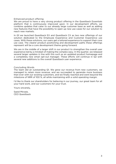#### Enhanced product offering

We are proud to have a very strong product offering in the Questback Essentials platform that is continuously improved upon. In our development efforts, we combine updates that cater to our already large customer base as well as adding new features that have the possibility to open up new use cases for our solution to reach new markets.

In Q1 we launched Questback EX and Questback CX as two new offerings of our solution dedicated to the Employee Experience and Customer Experience use cases. With these solutions, our users get a tailored experience to support their core use case. The clearer product positioning and development paths these offerings represent will be a core development theme going forward.

We are in the middle of a larger shift in our product to strengthen the overall user experience led by a mindset of making the complex easy. In the quarter, we released several larger updates in line with this such as an updated product homepage and a completely new email opt-out manager. These efforts will continue in Q2 with several new additions to the overall Questback user experience.

#### Concluding Words

The team did an outstanding Q1. We grew our revenue from new customers, we managed to retain more revenue, and we succeeded to generate more business than ever with our existing customers, and we finally reached and went beyond the milestone of NRR of 100 %, all while maintaining with a solid operating margin.

I'd like to thank our shareholders for believing in our journey, our great team for all your hard work, and our customers for your trust.

Yours sincerely,

Saeid Mirzaie, CEO Questback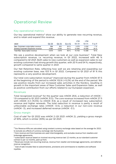# Operational Review

## Key operational metrics

Our key operational metrics<sup>[3](#page-3-0)</sup> show our ability to generate new recurring revenue, and to retain and expand this revenue.

|                                      |                   |                               |         | LTM      | <b>LTM</b> |             |
|--------------------------------------|-------------------|-------------------------------|---------|----------|------------|-------------|
| tNOK                                 | O <sub>1</sub> 22 | O <sub>1</sub> 2 <sub>1</sub> | $O-O-O$ | Q1 22    | Q1 21      | $Y - 0 - Y$ |
| New Customers subscription revenue   | 994               | 831                           | 20%     | 3 2 7 0  | 3 2 3 2    | $1\%$       |
| Existing Customers Expansion revenue | 4680              | 3 0 4 3                       | 54 %    | 12484    | 10 058     | 24 %        |
| Total New Subscription revenue       | 5674              | 3874                          | 46 %    | 15 7 5 3 | 13 290     | 19%         |

We see a positive development when we look at our core business<sup>[4](#page-3-1)</sup>. Total New subscription revenue, i.e. recurring revenue, in Q1 2022, increased with 46 % compared to Q1 2021. Both sales to new customers as well as expansion sales to our existing customers had strong growth this quarter, with 20 % and 54 %, respectively, growth compared to same quarter in 2021.

Our Net Retention Rate, reflecting how well we are retaining and expanding our existing customer base, was 103 % in Q1 2022. Compared to Q1 2021 of 91 % this represents a very positive development.

Our total core subscription revenue<sup>[5](#page-3-2)</sup> improved during the quarter from mNOK 97.5 at the beginning of the period to mNOK 102.6 (+5.2%) at the end of the period. We see positive results from our increased sales activities in the Nordics, resulting in growth in the important areas of New Customer Sales and Expansion Sales, as well as positive contribution from our efforts related to our European expansion.

## Revenues

Total recognized revenue<sup>[6](#page-3-3)</sup> for the quarter was mNOK 29.6, a reduction of mNOK -1.9 compared to Q1 2021 (mNOK 31.5). The core revenue increased from mNOK 27.5 with mNOK 4.3 (15.5%) to mNOK 31.8, as a result of increased new subscription revenue and higher renewals. The total reduction in revenue is partly a result of unfavorable exchange rates (mNOK -0.5), a reduction in our non-core revenue (mNOK -3), and increased deferred revenue (mNOK -3.1).

## Gross margin

Cost of sale<sup>[7](#page-3-4)</sup> for Q1 2022 was mNOK 2 (Q1 2021: mNOK 2), yielding a gross margin of 93%, which is similar (93%) as per Q1 2021.

<span id="page-3-0"></span><sup>&</sup>lt;sup>3</sup> Our Revenue KPIs are calculated using constant currency exchange rates based on the average for 2021 to exclude any effects of currency exchange rate fluctuations

<span id="page-3-1"></span><sup>4</sup> Core revenue and Core business are used interchangeably, and excludes revenue from resellers and brokerage agreements,

<span id="page-3-2"></span><sup>5</sup> subscription revenue based on invoiced recurring revenue last 12 months, as our standard customer contract is per 12 months, paid up front.

<span id="page-3-3"></span><sup>6</sup> Revenues include non-recurring revenue, revenue from reseller and brokerage agreements, and deferred revenue recognition.

<span id="page-3-4"></span> $7$  Cost of sale includes fees to subcontractors, provisions and commissions to resellers and software royalties.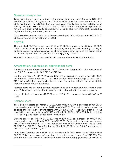## Operational expenses

Total operational expenses adjusted for special items and one-offs was mNOK 19.0 in Q1 2022, mNOK 4.3 higher than Q1 2021 (mNOK 14.6). Personnel-expenses for Q1 2022 are higher (mNOK 2.3) than previous year, mostly due to cost related to on average 6 more FTEs in Q1 2022 than Q1 2021. Other operational expenses are mNOK 1.6 higher in Q1 2022 compared to Q1 2021. This is in materiality caused by higher marketing activities (mNOK 0.7)

Capitalized expenses related to software developed internally was mNOK 0.6 in Q1 2022, compared to mNOK 1.1 in Q1 2021.

#### EBITDA

The adjusted EBITDA-margin was 31 % in Q1 2022, compared to 47 % in Q1 2021. With a re-focus on growth, we are following our plan and investing heavily in building up our sales teams as well as strengthening other parts of the organization to further capitalize on our positive trajectory going forward.

The EBITDA for Q1 2021 was mNOK 8.6, compared to mNOK 14.9 in Q1 2021.

## Amortization, depreciation, and financial items

Amortization and depreciations for Q1 2022 were in total mNOK 1.8, a reduction of mNOK 0.6 compared to Q1 2021 (mNOK 2.4).

Net financial items for Q1 2022 were mNOK -12, whereas for the same period in 2021, net financial items were mNOK -8.1. The change when comparing Q1 2022 to Q1 21021 of mNOK 3.9 is partly due to currency fluctuation effects, but also slightly higher external interest expenses.

Interest costs are divided between interest to be paid in cash and interest to paid in kind. This reflect the intention to ensure that cash are kept to invest in growth.

Net profit before taxes for Q1 2022 was mNOK -5.1, compared to mNOK 4.1 in Q1 2021.

## Balance sheet

Total booked assets per March 31, 2022 were mNOK 426.9, a decrease of mNOK 1.4 compared to end of first quarter 2021 (mNOK 428.3). The majority of assets on the balance sheet are non-current assets (mNOK 375.9) where goodwill from previous acquisitions accounts for mNOK 323.4 (March 31, 2021: mNOK 334.3). In addition, IFRS leasing (sub-lease) accounts for mNOK 30.

Current assets per March 31, 2022, was mNOK 51.0, an increase of mNOK 14.7 compared to end of March 2021 (mNOK 36.3). Cash and cash equivalents were mNOK 27.5 per March 31, 2022, an increase of mNOK 4.4 when compared to March 31, 2021 (mNOK 23.1). Book Equity per March 31, 2022, is mNOK 4.3. compared to mNOK 30.7 per March 31, 2021.

Long term liabilities are mNOK 305.1 per March 31, 2022 (Per March 2021; mNOK 300.9). This is composed of long-term interest-bearing loans of mNOK 299. The amount is netted with capitalized loan costs for accounting purposes of mNOK 18.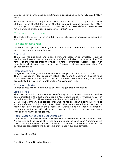Calculated long-term lease commitments is recognized with mNOK 23.6 (mNOK 31.0).

Total short-term liabilities per March 31 2022 are mNOK 117.5, compared to mNOK 96.6 per March 31, 2021. Per March 31, 2022, deferred revenue accounts for mNOK 67.3 and public duties of mNOK 24.7. Per March 31, 2021, deferred revenue was mNOK 64.1 and public duties payables were mNOK 23.3.

## Cash balance / cash flow

The cash balance per March 31 2022 was mNOK 27.5, an increase compared to March 31, 2021, of mNOK 4.4.

#### Risk and uncertainties

Questback Group does currently not use any financial instruments to limit credit, interest rate or exchange rate risks.

#### Credit risk

The Group has not experienced any significant losses on receivables. Recurring invoices are invoiced yearly in advance, and the credit risk is perceived as low. The nature of the product offering provides a highly diversified customer base with regards to industries and sectors, and the 10 largest customers represent about 6% of total revenues.

#### Interest rate risk

Long-term borrowings amounted to mNOK 299 per the end of first quarter 2022. The interest-bearing debt is denominated in NOK, and the company has not fixed the interest rate which is tied to NIBOR. The interest (NIBOR + margin of 16%) is divided into 50 % cash payments and 50 % payment in kind.

#### Exchange rate risk

Exchange rate risk is limited due to our current geographic footprint.

#### Liquidity risk

The Group's liquidity is considered satisfactory at quarter-end. However, and as communicated in the 2021 annual report, Questback Group is investing heavily in growth through 2022. These investments have reduced the liquidity position of the Group. The Company has started preparations for assessing alternative ways to ensure sufficient liquidity in 2022 and 2023. The main shareholder as well as the main lender are engaged in the process. The Group is not in breach of its financial covenants per the reporting date and is working diligently to pursue compliance with all of its financial obligations.

#### Risks related to the Bond Loan Agreement

If the Group is unable to meet its obligations or covenants under the Bond Loan Agreement, or if the Group otherwise defaults under the Bond Loan Agreement, the Group can initiate remedy cures to ensure compliance. If the remedy cures fail, the bondholder can declare the debt to be immediately due and payable.

Oslo, May 30th, 2022

Questback Group Board of Directors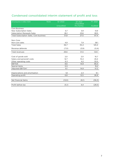# Condensed consolidated interim statement of profit and loss

| All amounts in million NOK              | <b>Note</b> | Q1 2022   | Q1 2021<br>Unaudited | FY 2021        |
|-----------------------------------------|-------------|-----------|----------------------|----------------|
|                                         |             | Unaudited | Pro forma            | <b>Audited</b> |
| <b>Core Business</b>                    |             |           |                      |                |
| <b>New Subscription Sales</b>           |             | 5,7       | 3,9                  | 13,9           |
| <b>Subscription Renewals Sales</b>      |             | 26,1      | 23,6                 | 83,5           |
| Total Subscription Sales, Core business |             | 31,8      | 27,5                 | 97,4           |
| Non-Core:                               |             |           |                      |                |
| Non-core sales                          |             | 4,9       | 7,9                  | 28,1           |
| <b>Total Sales</b>                      |             | 36,7      | 35,4                 | 125,5          |
| Revenue deferrals                       |             | (7,0)     | (3, 9)               | (0,4)          |
| Total revenues                          |             | 29.6      | 31,5                 | 124,1          |
|                                         |             |           |                      |                |
| Cost of goods sold                      |             | 2,0       | 2,0                  | 10,7           |
| Salary and personell costs              |             | 12,7      | 10,4                 | 45,4           |
| Other operating costs                   |             | 6,3       | 4,2                  | 32,0           |
| <b>EBITDA</b>                           |             | 8,6       | 14,9                 | 36,0           |
| Special items                           |             | 0,5       |                      | 15,2           |
| Adjusted EBITDA*                        |             | 9,1       | 14,9                 | 51,2           |
| Depreciations and amortisation          |             | 1,8       | 2,4                  | 9,1            |
| Operating profit                        |             | 6,8       | 12.5                 | 26,9           |
| Net financial items                     |             | (12,0)    | (8,1)                | (56, 3)        |
| Profit before tax                       |             | (5,1)     | 4.4                  | (29,3)         |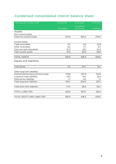# Condensed consolidated interim balance sheet

| All amounts in million NOK            | 31.03.2022 | 31.03.2021 | 31.12.2021     |
|---------------------------------------|------------|------------|----------------|
|                                       |            | Unaudited  |                |
|                                       | Unaudited  | Pro forma  | <b>Audited</b> |
| Assets                                |            |            |                |
| Non-current assets                    |            |            |                |
| Total non-current assets              | 375,9      | 392,0      | 379,0          |
|                                       |            |            |                |
| Current assets                        |            |            |                |
| Trade receivables                     | 15,1       | 8,5        | 23,8           |
| Other receivables                     | 8,4        | 4,7        | 8,7            |
| Cash and cash equivalents             | 27,5       | 23,1       | 27,4           |
| Total current assets                  | 51,0       | 36,3       | 59,9           |
|                                       |            |            |                |
| <b>TOTAL ASSETS</b>                   | 426,9      | 428,3      | 439,0          |
| <b>Equity and liabilities</b>         |            |            |                |
| <b>Total Equity</b>                   | 4,3        | 30,7       | 16,7           |
| Other long-term liabilities           |            |            |                |
| Interest-bearing loans and borrowings | 279,8      | 267,9      | 272,8          |
| Long-term lease liabilities           | 23,6       | 31,0       | 22,6           |
| Deferred tax liabilities              | 1,7        | 2,0        | 1,7            |
| Total long-term liabilities           | 305,1      | 300,9      | 297,1          |
|                                       |            |            |                |
| Total short-term liabilities          | 117,5      | 96,6       | 125,1          |
|                                       |            |            |                |
| <b>TOTAL LIABILITIES</b>              | 422,6      | 397,5      | 422,2          |
|                                       |            |            |                |
| TOTAL EQUITY AND LIABILITIES          | 426,9      | 428,3      | 439,0          |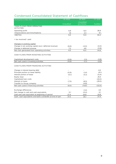# Condensed Consolidated Statement of Cashflows

| All amounts in million NOK                                | Q1 2022          | Q1 2021   | FY 2021           |
|-----------------------------------------------------------|------------------|-----------|-------------------|
|                                                           |                  | Unaudited |                   |
|                                                           | <b>Unaudited</b> | pro-forma | <b>Audited</b>    |
| CASH FLOWS FROM OPERATING                                 |                  |           |                   |
| <b>ACTIVITIES</b>                                         |                  |           |                   |
| Operating profit                                          | 6,8              | 12,5      | 26,9              |
| +Depreciations and Amortisations                          | 1,8              | 2,4       | 9,1               |
| $=$ EBITDA                                                | 8,6              | 14,9      | 36,0              |
|                                                           |                  |           |                   |
| + tax received/- paid                                     |                  |           |                   |
| Changes in working capital                                |                  |           |                   |
| Change in net working capital (excl. deferred revenue)    | (6,6)            | (4,0)     | (0,3)             |
| Change in deferred revenue                                | 7,2              | 4,6       | (0,8)             |
| Net cash generated from operating activities              | 9,3              | 15,5      | 34,9              |
|                                                           |                  |           |                   |
| CASH FLOWS FROM INVESTING ACTIVITIES                      |                  |           |                   |
| Capitalized development costs                             | (0,6)            | (1,1)     | (2,8)             |
| Net cash used in investing activities                     | (0,6)            | (1,1)     | (2,8)             |
|                                                           |                  |           |                   |
| CASH FLOWS FROM FINANCING ACTIVITIES                      |                  |           |                   |
| Change in interest bearing debt                           |                  |           | 4,0               |
| Principle portion on lease liability                      | (0,9)            | (1,4)     | (9,1)             |
| Interest portion of lease                                 | (0,1)            | (0,1)     | (0,4)             |
| Equity issue                                              |                  |           | 25,3              |
| Capitalized loan costs                                    |                  |           | (22, 2)           |
| Interest on loans                                         | (7, 5)           | (8,3)     | (29,5)            |
| Transfer to Group company                                 |                  | (4,8)     | $\qquad \qquad -$ |
| Net cash used in financing activities                     | (8, 5)           | (14, 6)   | (32,0)            |
|                                                           |                  |           |                   |
| Exchange differences                                      |                  | (1,4)     | 2,5               |
| Net change in cash and cash equivalents                   | O,1              | (0,2)     | O,1               |
| Cash and cash equivalent at beginning of period           | 27,4             | 24,8      | 24,8              |
| Cash, cash equivalents and bank overdrafts at end of peri | 27,5             | 23.1      | 27,4              |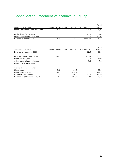# Consolidated Statement of changes in Equity

| Amounts in NOK million         | Share Capital | Share premium | Other equity | Total<br>Equity |
|--------------------------------|---------------|---------------|--------------|-----------------|
| Opening balance 1 January 2022 |               | 454.7         | (438.1)      | 16,7            |
|                                |               |               |              |                 |
| Profit (loss) for the year     |               |               | (5,1)        | (5,1)           |
| Other comprehensive income     |               |               | (7.3)        | (7,3)           |
| IBalance at 31 March 2022      |               | 454.7         | (450.4)      | 4,3             |

|                             |               |               |              | Total    |
|-----------------------------|---------------|---------------|--------------|----------|
| Amounts in NOK million      | Share Capital | Share premium | Other equity | Equity   |
| Balance at 1 January 2021   |               |               | 32,3         | 32,3     |
|                             |               |               |              |          |
| Incorporation of new parent | 0,03          |               | $-0.03$      |          |
| Profit for the year         |               |               | $-29.0$      | $-29,0$  |
| Other comprehensive income  |               |               | $-9.4$       | $-9,2$   |
| Correction in subsiduary    |               |               |              |          |
| Transactions with owners:   |               |               |              |          |
| Share issue                 | 0,01          | 25,2          |              | 25,3     |
| Contribution-in-kind        | 0.07          | 429,4         |              | 429,5    |
| Continuity difference*      | $-0.01$       | 0.01          | $-431.9$     | $-431.9$ |
| Balance at 31 December 2021 | 0,1,          | 454.7         | $-438.1$     | 16,7     |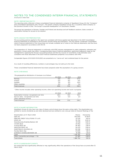#### NOTES TO THE CONDENSED INTERIM FINANCIAL STATEMENTS All amounts in million NOK

NOTE 1 REPORTING ENTITY

The reporting entity reflected in these consolidated financial statements comprise of Questback Group AS (the "Company" and consolidated subsiduaries (the "Group"). The parent company Questback Group AS, is a publicly listed company on the Euronext Growth in Oslo. The Group's corporate headquarter is in Stockholm, Sweden.

The group has operations in Norway, Sweden and Finland and develops and sell feedback solutions. Sales consists of subscription licenses for access to our solution.

#### NOTE 2 BASIS FOR PREPARATION

The accounting policies applied in this report are consistent with those applied and described in the 2021 Consolidated financial statements as presented in the Euronext Growth listing documentation. The first quarter condensed consolidated interim financial statements of the Group does not include complete set of notes to the financial statements, and thus have not been prepared in accordance with IAS 34.

The preparation of financial statements in conformity with IFRS requires management to make judgments, estimates and assumtions. Actual results may differ. In preparing these interim financial statements, significiant judgments made by the management in applying the Group's accounting policies and the key sources of uncertainty in the estimates were consistent with those described in the 2021 Financial Statements prepared in accordance with IFRS.

Comparable figures (01.01.2021-31.03.2021) are presented on a "carve-out" and combined basis for the period.

As a result of rounding differences, numbers or percentages may not add up to the total.

These consolidated financial statements have been prepared under the assumption of a going concern.

#### NOTE 3 REVENUE

The geographical distribution of revenues is as follows:

|                 | Q1 2022 | Q1 2021 | 2021  |
|-----------------|---------|---------|-------|
| Norway          | 12,8    | 13,5    | 57,0  |
| Finland         | 6,9     | 8,0     | 31,5  |
| Sweden          | 5,9     | 6,5     | 24,4  |
| Other countries | 4.0     | 3.6     | 11.2  |
| Total revenues  | 29.6    | 31.5    | 124.1 |

\* Other income includes other operating income, other non-operating income and work in progress.

|                                            | Q1 2022 | Q1 2021 | 2021  |
|--------------------------------------------|---------|---------|-------|
| Subscription revenue- recognized over time | 29.3    | 31.0    | 121.7 |
| Service sales - recognized over time       | 0.3     | 0.4     | 2.3   |
| Other operating revenue                    |         |         |       |
| Total revenues                             | 29.6    | 31.5    | 124.1 |

#### NOTE 4 SHARE INFORMATION

Questback Group AS only have one class of shares, and all shares have the same voting rights. The shareholders are entitled to receive dividends as and when declared and are entitled to one vote per share at Generel Meetings of the **Contract** 

| Shareholders at 31. March 2022     | Shares    | Ownership |
|------------------------------------|-----------|-----------|
| <b>QDH AS</b>                      | 740 940   | 57.58 %   |
| PRECISE CREDIT SOLUTIONS 17 S.A.R. | 127 551   | 9.91%     |
| <b>IPSOS AS</b>                    | 115 792   | 9.00 %    |
| Skandinaviska Enskilda Banken AB   | 50 168    | 3.90 %    |
| CACEIS Bank                        | 43 952    | 3.42 %    |
| Avanza Bank AB                     | 36 462    | 2.83 %    |
| SEKSTEN FEMTI AS                   | 34 570    | 2.69 %    |
| <b>QUESTBACK HOLDING AS</b>        | 29 0 36   | 2.26 %    |
| Nordea Bank Abp                    | 23 6 9 6  | 1.84 %    |
| SVENSKA HANDELSBANKEN AB           | 16 598    | 1.29%     |
| Total                              | 1 218 765 | 94.7%     |
| Other (ownership percentage < 1%)  | 67 987    | 5,28 %    |
| <b>Total shares</b>                | 1286752   | 100 %     |

#### NOTE 5 SUBSEQUENT EVENTS

No events that have significantly affected or may significantly affect the operations of the Group have occurred after 31. March 2022